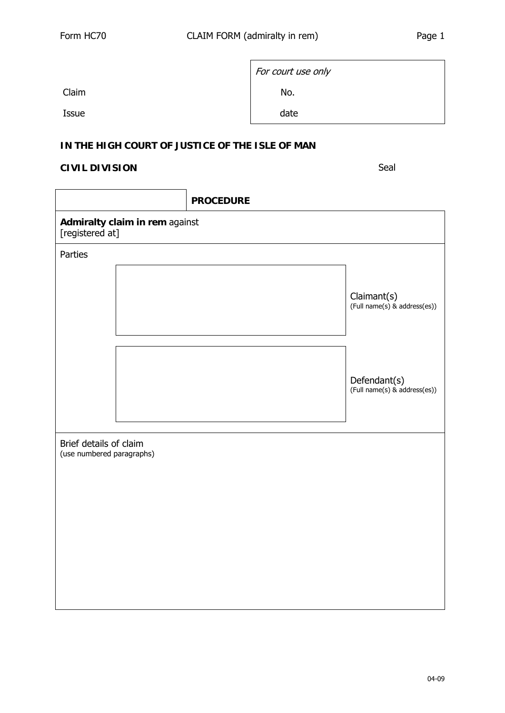|       | For court use only |  |
|-------|--------------------|--|
|       |                    |  |
| Claim | No.                |  |
| Issue | date               |  |

## **IN THE HIGH COURT OF JUSTICE OF THE ISLE OF MAN**

## **CIVIL DIVISION** Seal

|                                                     |  | <b>PROCEDURE</b> |                                              |  |
|-----------------------------------------------------|--|------------------|----------------------------------------------|--|
| Admiralty claim in rem against<br>[registered at]   |  |                  |                                              |  |
| Parties                                             |  |                  |                                              |  |
|                                                     |  |                  | Claimant(s)<br>(Full name(s) & address(es))  |  |
|                                                     |  |                  | Defendant(s)<br>(Full name(s) & address(es)) |  |
| Brief details of claim<br>(use numbered paragraphs) |  |                  |                                              |  |
|                                                     |  |                  |                                              |  |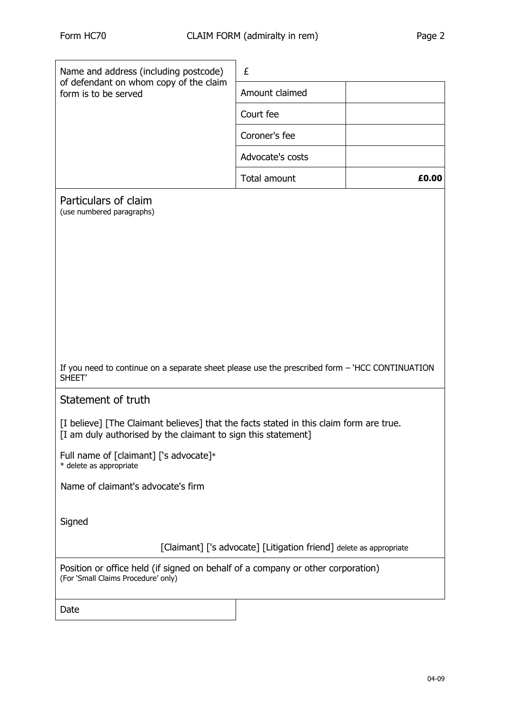| Name and address (including postcode)<br>of defendant on whom copy of the claim<br>form is to be served                                                 | £                |       |
|---------------------------------------------------------------------------------------------------------------------------------------------------------|------------------|-------|
|                                                                                                                                                         | Amount claimed   |       |
|                                                                                                                                                         | Court fee        |       |
|                                                                                                                                                         | Coroner's fee    |       |
|                                                                                                                                                         | Advocate's costs |       |
|                                                                                                                                                         | Total amount     | £0.00 |
| Particulars of claim<br>(use numbered paragraphs)                                                                                                       |                  |       |
|                                                                                                                                                         |                  |       |
|                                                                                                                                                         |                  |       |
|                                                                                                                                                         |                  |       |
|                                                                                                                                                         |                  |       |
|                                                                                                                                                         |                  |       |
|                                                                                                                                                         |                  |       |
| If you need to continue on a separate sheet please use the prescribed form - 'HCC CONTINUATION<br>SHEET'                                                |                  |       |
| Statement of truth                                                                                                                                      |                  |       |
| [I believe] [The Claimant believes] that the facts stated in this claim form are true.<br>[I am duly authorised by the claimant to sign this statement] |                  |       |
| Full name of [claimant] ['s advocate]*<br>* delete as appropriate                                                                                       |                  |       |
| Name of claimant's advocate's firm                                                                                                                      |                  |       |
|                                                                                                                                                         |                  |       |
| Signed                                                                                                                                                  |                  |       |
| [Claimant] ['s advocate] [Litigation friend] delete as appropriate                                                                                      |                  |       |
| Position or office held (if signed on behalf of a company or other corporation)<br>(For 'Small Claims Procedure' only)                                  |                  |       |
| Date                                                                                                                                                    |                  |       |
|                                                                                                                                                         |                  |       |